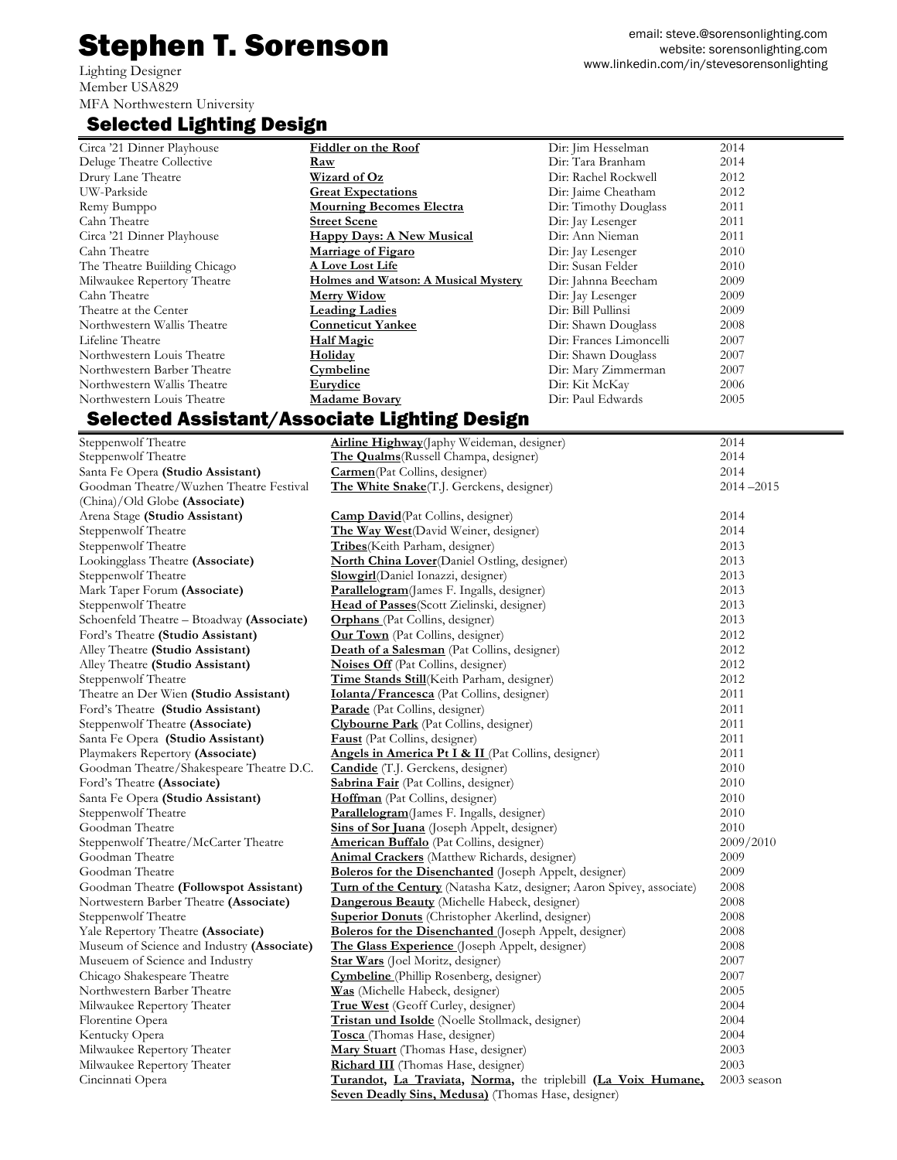## Stephen T. Sorenson

Lighting Designer Member USA829 MFA Northwestern University

## Selected Lighting Design

| Circa '21 Dinner Playhouse   | Fiddler on the Roof                  | Dir: Jim Hesselman      | 2014 |
|------------------------------|--------------------------------------|-------------------------|------|
| Deluge Theatre Collective    | Raw                                  | Dir: Tara Branham       | 2014 |
| Drury Lane Theatre           | Wizard of Oz                         | Dir: Rachel Rockwell    | 2012 |
| UW-Parkside                  | <b>Great Expectations</b>            | Dir: Jaime Cheatham     | 2012 |
| Remy Bumppo                  | <b>Mourning Becomes Electra</b>      | Dir: Timothy Douglass   | 2011 |
| Cahn Theatre                 | <b>Street Scene</b>                  | Dir: Jay Lesenger       | 2011 |
| Circa '21 Dinner Playhouse   | <b>Happy Days: A New Musical</b>     | Dir: Ann Nieman         | 2011 |
| Cahn Theatre                 | <b>Marriage of Figaro</b>            | Dir: Jay Lesenger       | 2010 |
| The Theatre Building Chicago | <b>A Love Lost Life</b>              | Dir: Susan Felder       | 2010 |
| Milwaukee Repertory Theatre  | Holmes and Watson: A Musical Mystery | Dir: Jahnna Beecham     | 2009 |
| Cahn Theatre                 | <b>Merry Widow</b>                   | Dir: Jay Lesenger       | 2009 |
| Theatre at the Center        | <b>Leading Ladies</b>                | Dir: Bill Pullinsi      | 2009 |
| Northwestern Wallis Theatre  | <b>Conneticut Yankee</b>             | Dir: Shawn Douglass     | 2008 |
| Lifeline Theatre             | Half Magic                           | Dir: Frances Limoncelli | 2007 |
| Northwestern Louis Theatre   | <b>Holiday</b>                       | Dir: Shawn Douglass     | 2007 |
| Northwestern Barber Theatre  | <u>Cymbeline</u>                     | Dir: Mary Zimmerman     | 2007 |
| Northwestern Wallis Theatre  | Eurydice                             | Dir: Kit McKay          | 2006 |
| Northwestern Louis Theatre   | <b>Madame Bovary</b>                 | Dir: Paul Edwards       | 2005 |
|                              |                                      |                         |      |

## Selected Assistant/Associate Lighting Design

| Steppenwolf Theatre                        | Airline Highway(Japhy Weideman, designer)                             | 2014          |
|--------------------------------------------|-----------------------------------------------------------------------|---------------|
| Steppenwolf Theatre                        | The Qualms (Russell Champa, designer)                                 | 2014          |
| Santa Fe Opera (Studio Assistant)          | <b>Carmen</b> (Pat Collins, designer)                                 | 2014          |
| Goodman Theatre/Wuzhen Theatre Festival    | The White Snake(T.J. Gerckens, designer)                              | $2014 - 2015$ |
| (China)/Old Globe (Associate)              |                                                                       |               |
| Arena Stage (Studio Assistant)             | <b>Camp David</b> (Pat Collins, designer)                             | 2014          |
| Steppenwolf Theatre                        | The Way West(David Weiner, designer)                                  | 2014          |
| Steppenwolf Theatre                        | Tribes (Keith Parham, designer)                                       | 2013          |
| Lookingglass Theatre (Associate)           | <b>North China Lover</b> (Daniel Ostling, designer)                   | 2013          |
| Steppenwolf Theatre                        | Slowgirl(Daniel Ionazzi, designer)                                    | 2013          |
| Mark Taper Forum (Associate)               | Parallelogram (James F. Ingalls, designer)                            | 2013          |
| Steppenwolf Theatre                        | Head of Passes(Scott Zielinski, designer)                             | 2013          |
| Schoenfeld Theatre - Btoadway (Associate)  | <b>Orphans</b> (Pat Collins, designer)                                | 2013          |
| Ford's Theatre (Studio Assistant)          | <b>Our Town</b> (Pat Collins, designer)                               | 2012          |
| Alley Theatre (Studio Assistant)           | <b>Death of a Salesman</b> (Pat Collins, designer)                    | 2012          |
| Alley Theatre (Studio Assistant)           | <b>Noises Off</b> (Pat Collins, designer)                             | 2012          |
| Steppenwolf Theatre                        | Time Stands Still(Keith Parham, designer)                             | 2012          |
| Theatre an Der Wien (Studio Assistant)     | <b>Iolanta/Francesca</b> (Pat Collins, designer)                      | 2011          |
| Ford's Theatre (Studio Assistant)          | Parade (Pat Collins, designer)                                        | 2011          |
| Steppenwolf Theatre (Associate)            | <b>Clybourne Park</b> (Pat Collins, designer)                         | 2011          |
| Santa Fe Opera (Studio Assistant)          | <b>Faust</b> (Pat Collins, designer)                                  | 2011          |
| Playmakers Repertory (Associate)           | Angels in America Pt I & II (Pat Collins, designer)                   | 2011          |
| Goodman Theatre/Shakespeare Theatre D.C.   | <b>Candide</b> (T.J. Gerckens, designer)                              | 2010          |
| Ford's Theatre (Associate)                 | Sabrina Fair (Pat Collins, designer)                                  | 2010          |
| Santa Fe Opera (Studio Assistant)          | Hoffman (Pat Collins, designer)                                       | 2010          |
| Steppenwolf Theatre                        | Parallelogram(James F. Ingalls, designer)                             | 2010          |
| Goodman Theatre                            | Sins of Sor Juana (Joseph Appelt, designer)                           | 2010          |
| Steppenwolf Theatre/McCarter Theatre       | <b>American Buffalo</b> (Pat Collins, designer)                       | 2009/2010     |
| Goodman Theatre                            | <b>Animal Crackers</b> (Matthew Richards, designer)                   | 2009          |
| Goodman Theatre                            | <b>Boleros for the Disenchanted</b> (Joseph Appelt, designer)         | 2009          |
| Goodman Theatre (Followspot Assistant)     | Turn of the Century (Natasha Katz, designer; Aaron Spivey, associate) | 2008          |
| Nortwestern Barber Theatre (Associate)     | Dangerous Beauty (Michelle Habeck, designer)                          | 2008          |
| Steppenwolf Theatre                        | <b>Superior Donuts</b> (Christopher Akerlind, designer)               | 2008          |
| Yale Repertory Theatre (Associate)         | Boleros for the Disenchanted (Joseph Appelt, designer)                | 2008          |
| Museum of Science and Industry (Associate) | The Glass Experience (Joseph Appelt, designer)                        | 2008          |
| Museuem of Science and Industry            | Star Wars (Joel Moritz, designer)                                     | 2007          |
| Chicago Shakespeare Theatre                | Cymbeline (Phillip Rosenberg, designer)                               | 2007          |
| Northwestern Barber Theatre                | Was (Michelle Habeck, designer)                                       | 2005          |
| Milwaukee Repertory Theater                | <b>True West</b> (Geoff Curley, designer)                             | 2004          |
| Florentine Opera                           | Tristan und Isolde (Noelle Stollmack, designer)                       | 2004          |
| Kentucky Opera                             | Tosca (Thomas Hase, designer)                                         | 2004          |
| Milwaukee Repertory Theater                | Mary Stuart (Thomas Hase, designer)                                   | 2003          |
| Milwaukee Repertory Theater                | Richard III (Thomas Hase, designer)                                   | 2003          |
| Cincinnati Opera                           | Turandot, La Traviata, Norma, the triplebill (La Voix Humane,         | 2003 season   |
|                                            | Seven Deadly Sins, Medusa) (Thomas Hase, designer)                    |               |